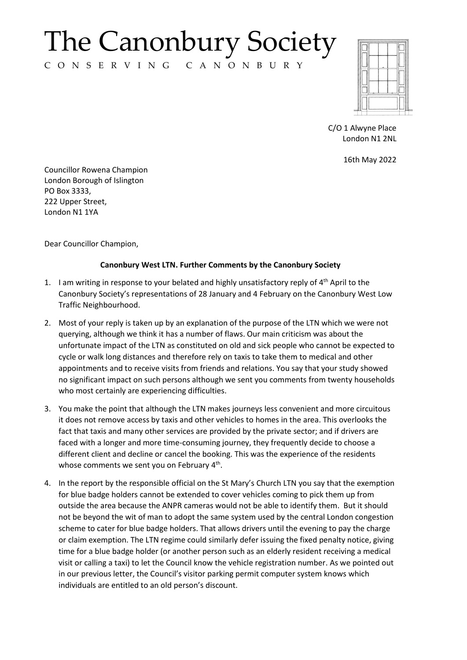## The Canonbury Society

C O N S E R V I N G C A N O N B U R Y



C/O 1 Alwyne Place London N1 2NL

16th May 2022

Councillor Rowena Champion London Borough of Islington PO Box 3333, 222 Upper Street, London N1 1YA

Dear Councillor Champion,

## **Canonbury West LTN. Further Comments by the Canonbury Society**

- 1. I am writing in response to your belated and highly unsatisfactory reply of 4<sup>th</sup> April to the Canonbury Society's representations of 28 January and 4 February on the Canonbury West Low Traffic Neighbourhood.
- 2. Most of your reply is taken up by an explanation of the purpose of the LTN which we were not querying, although we think it has a number of flaws. Our main criticism was about the unfortunate impact of the LTN as constituted on old and sick people who cannot be expected to cycle or walk long distances and therefore rely on taxis to take them to medical and other appointments and to receive visits from friends and relations. You say that your study showed no significant impact on such persons although we sent you comments from twenty households who most certainly are experiencing difficulties.
- 3. You make the point that although the LTN makes journeys less convenient and more circuitous it does not remove access by taxis and other vehicles to homes in the area. This overlooks the fact that taxis and many other services are provided by the private sector; and if drivers are faced with a longer and more time-consuming journey, they frequently decide to choose a different client and decline or cancel the booking. This was the experience of the residents whose comments we sent you on February 4<sup>th</sup>.
- 4. In the report by the responsible official on the St Mary's Church LTN you say that the exemption for blue badge holders cannot be extended to cover vehicles coming to pick them up from outside the area because the ANPR cameras would not be able to identify them. But it should not be beyond the wit of man to adopt the same system used by the central London congestion scheme to cater for blue badge holders. That allows drivers until the evening to pay the charge or claim exemption. The LTN regime could similarly defer issuing the fixed penalty notice, giving time for a blue badge holder (or another person such as an elderly resident receiving a medical visit or calling a taxi) to let the Council know the vehicle registration number. As we pointed out in our previous letter, the Council's visitor parking permit computer system knows which individuals are entitled to an old person's discount.